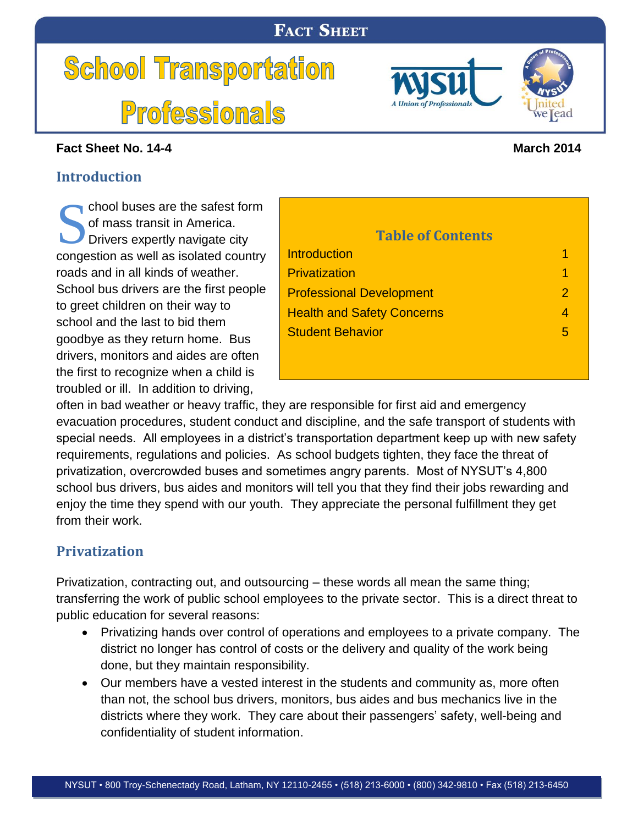# **FACT SHEET**

# **School Transportation Professionals**

#### **Fact Sheet No. 14-4 March 2014**

## <span id="page-0-0"></span>**Introduction**

chool buses are the safest form of mass transit in America. Drivers expertly navigate city congestion as well as isolated country roads and in all kinds of weather. School bus drivers are the f to greet children on their way school and the last to bid the goodbye as they return hom drivers, monitors and aides the first to recognize when troubled or ill. In addition to Chool buses are the safest form<br>
of mass transit in America.<br>
Drivers expertly navigate city<br> **Table of Contents** 

| first people<br>ay to<br>ıem<br>ne. Bus<br>are often<br>a child is        | <b>Professional Development</b><br><b>Health and Safety Concerns</b><br><b>Student Behavior</b> | 2<br>4<br>5 |
|---------------------------------------------------------------------------|-------------------------------------------------------------------------------------------------|-------------|
| driving,<br>ivy traffic, they are responsible for first aid and emergency |                                                                                                 |             |
| dent conduct and discipline, and the safe transport of students with      |                                                                                                 |             |

**[Introduction](#page-0-0)** 1 and 1 and 1 and 1 and 1 and 1 and 1 and 1 and 1 and 1 and 1 and 1 and 1 and 1 and 1 and 1 and 1 and 1 and 1 and 1 and 1 and 1 and 1 and 1 and 1 and 1 and 1 and 1 and 1 and 1 and 1 and 1 and 1 and 1 and 1 a [Privatization](#page-0-1) **1** 

often in bad weather or hear evacuation procedures, stud special needs. All employees in a district's transportation department keep up with new safety requirements, regulations and policies. As school budgets tighten, they face the threat of privatization, overcrowded buses and sometimes angry parents. Most of NYSUT's 4,800 school bus drivers, bus aides and monitors will tell you that they find their jobs rewarding and enjoy the time they spend with our youth. They appreciate the personal fulfillment they get from their work.

# <span id="page-0-1"></span>**Privatization**

Privatization, contracting out, and outsourcing – these words all mean the same thing; transferring the work of public school employees to the private sector. This is a direct threat to public education for several reasons:

- Privatizing hands over control of operations and employees to a private company. The district no longer has control of costs or the delivery and quality of the work being done, but they maintain responsibility.
- Our members have a vested interest in the students and community as, more often than not, the school bus drivers, monitors, bus aides and bus mechanics live in the districts where they work. They care about their passengers' safety, well-being and confidentiality of student information.



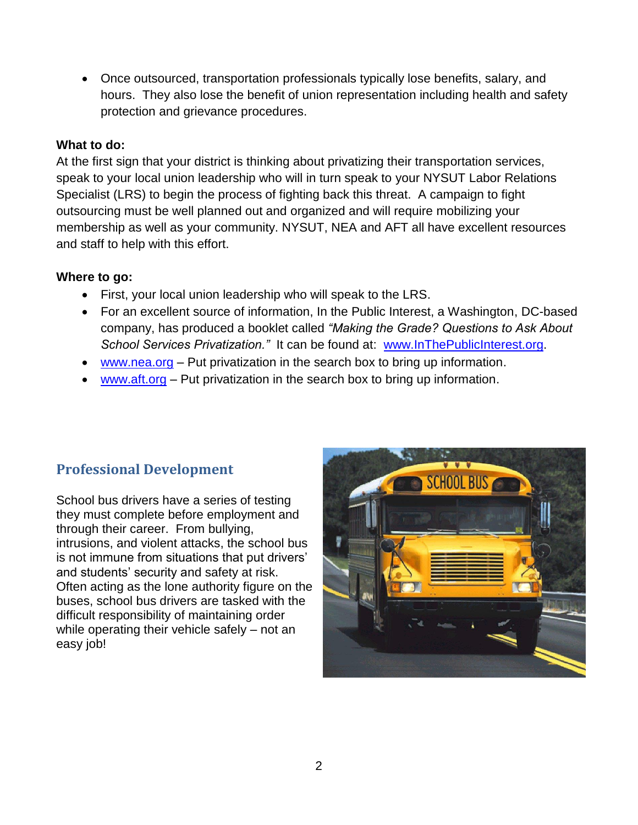Once outsourced, transportation professionals typically lose benefits, salary, and hours. They also lose the benefit of union representation including health and safety protection and grievance procedures.

#### **What to do:**

At the first sign that your district is thinking about privatizing their transportation services, speak to your local union leadership who will in turn speak to your NYSUT Labor Relations Specialist (LRS) to begin the process of fighting back this threat. A campaign to fight outsourcing must be well planned out and organized and will require mobilizing your membership as well as your community. NYSUT, NEA and AFT all have excellent resources and staff to help with this effort.

#### **Where to go:**

- First, your local union leadership who will speak to the LRS.
- For an excellent source of information, In the Public Interest, a Washington, DC-based company, has produced a booklet called *"Making the Grade? Questions to Ask About School Services Privatization."* It can be found at: [www.InThePublicInterest.org.](http://www.inthepublicinterest.org/)
- [www.nea.org](http://www.nea.org/) Put privatization in the search box to bring up information.
- [www.aft.org](http://www.aft.org/) Put privatization in the search box to bring up information.

# <span id="page-1-0"></span>**Professional Development**

School bus drivers have a series of testing they must complete before employment and through their career. From bullying, intrusions, and violent attacks, the school bus is not immune from situations that put drivers' and students' security and safety at risk. Often acting as the lone authority figure on the buses, school bus drivers are tasked with the difficult responsibility of maintaining order while operating their vehicle safely – not an easy job!

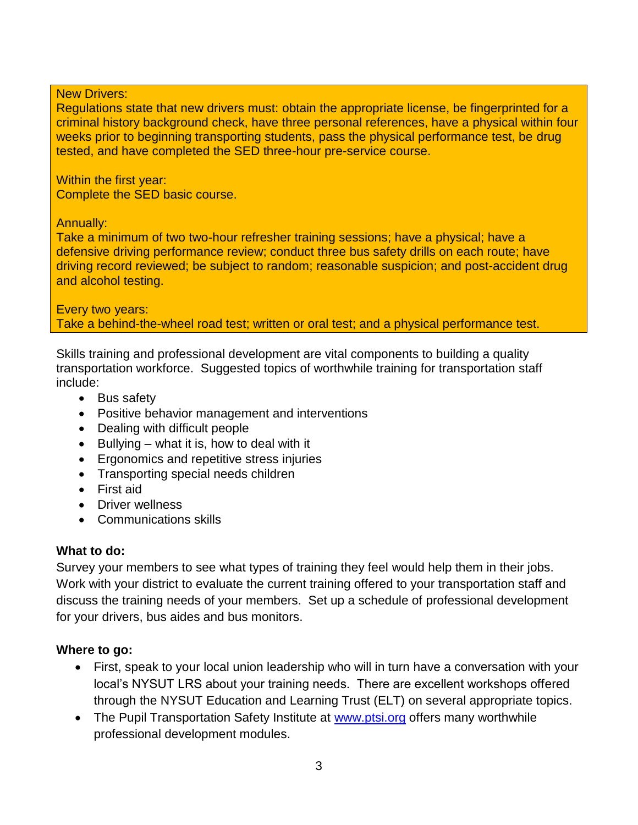#### New Drivers:

Regulations state that new drivers must: obtain the appropriate license, be fingerprinted for a criminal history background check, have three personal references, have a physical within four weeks prior to beginning transporting students, pass the physical performance test, be drug tested, and have completed the SED three-hour pre-service course.

Within the first year: Complete the SED basic course.

#### Annually:

Take a minimum of two two-hour refresher training sessions; have a physical; have a defensive driving performance review; conduct three bus safety drills on each route; have driving record reviewed; be subject to random; reasonable suspicion; and post-accident drug and alcohol testing.

#### Every two years: Take a behind-the-wheel road test; written or oral test; and a physical performance test.

Skills training and professional development are vital components to building a quality transportation workforce. Suggested topics of worthwhile training for transportation staff include:

- Bus safety
- Positive behavior management and interventions
- Dealing with difficult people
- $\bullet$  Bullying what it is, how to deal with it
- **Exercise 5 Figonomics and repetitive stress injuries**
- Transporting special needs children
- First aid
- **•** Driver wellness
- Communications skills

#### **What to do:**

Survey your members to see what types of training they feel would help them in their jobs. Work with your district to evaluate the current training offered to your transportation staff and discuss the training needs of your members. Set up a schedule of professional development for your drivers, bus aides and bus monitors.

#### **Where to go:**

- First, speak to your local union leadership who will in turn have a conversation with your local's NYSUT LRS about your training needs. There are excellent workshops offered through the NYSUT Education and Learning Trust (ELT) on several appropriate topics.
- The Pupil Transportation Safety Institute at [www.ptsi.org](http://www.ptsi.org/) offers many worthwhile professional development modules.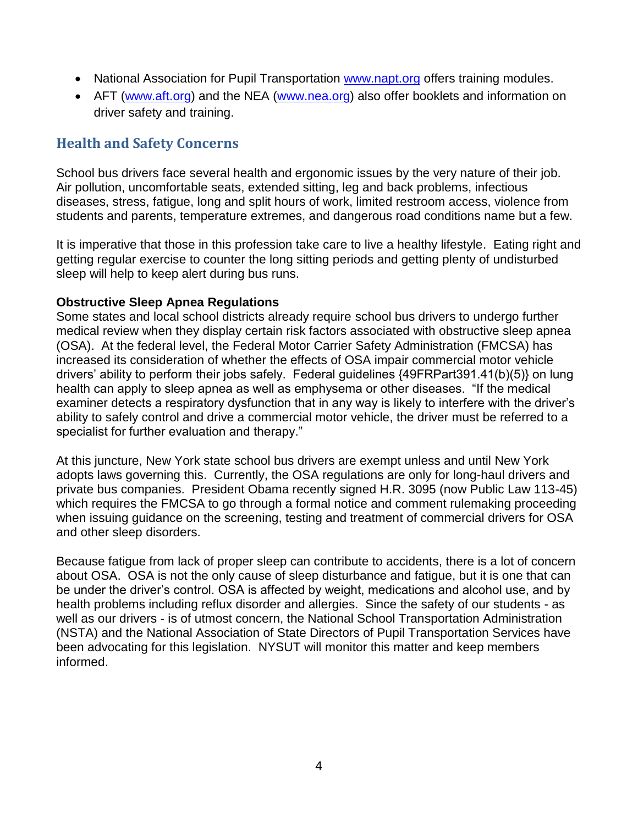- National Association for Pupil Transportation [www.napt.org](http://www.napt.org/) offers training modules.
- AFT [\(www.aft.org\)](http://www.aft.org/) and the NEA [\(www.nea.org\)](http://www.nea.org/) also offer booklets and information on driver safety and training.

# <span id="page-3-0"></span>**Health and Safety Concerns**

School bus drivers face several health and ergonomic issues by the very nature of their job. Air pollution, uncomfortable seats, extended sitting, leg and back problems, infectious diseases, stress, fatigue, long and split hours of work, limited restroom access, violence from students and parents, temperature extremes, and dangerous road conditions name but a few.

It is imperative that those in this profession take care to live a healthy lifestyle. Eating right and getting regular exercise to counter the long sitting periods and getting plenty of undisturbed sleep will help to keep alert during bus runs.

#### **Obstructive Sleep Apnea Regulations**

Some states and local school districts already require school bus drivers to undergo further medical review when they display certain risk factors associated with obstructive sleep apnea (OSA). At the federal level, the Federal Motor Carrier Safety Administration (FMCSA) has increased its consideration of whether the effects of OSA impair commercial motor vehicle drivers' ability to perform their jobs safely. Federal guidelines {49FRPart391.41(b)(5)} on lung health can apply to sleep apnea as well as emphysema or other diseases. "If the medical examiner detects a respiratory dysfunction that in any way is likely to interfere with the driver's ability to safely control and drive a commercial motor vehicle, the driver must be referred to a specialist for further evaluation and therapy."

At this juncture, New York state school bus drivers are exempt unless and until New York adopts laws governing this. Currently, the OSA regulations are only for long-haul drivers and private bus companies. President Obama recently signed H.R. 3095 (now Public Law 113-45) which requires the FMCSA to go through a formal notice and comment rulemaking proceeding when issuing guidance on the screening, testing and treatment of commercial drivers for OSA and other sleep disorders.

Because fatigue from lack of proper sleep can contribute to accidents, there is a lot of concern about OSA. OSA is not the only cause of sleep disturbance and fatigue, but it is one that can be under the driver's control. OSA is affected by weight, medications and alcohol use, and by health problems including reflux disorder and allergies. Since the safety of our students - as well as our drivers - is of utmost concern, the National School Transportation Administration (NSTA) and the National Association of State Directors of Pupil Transportation Services have been advocating for this legislation. NYSUT will monitor this matter and keep members informed.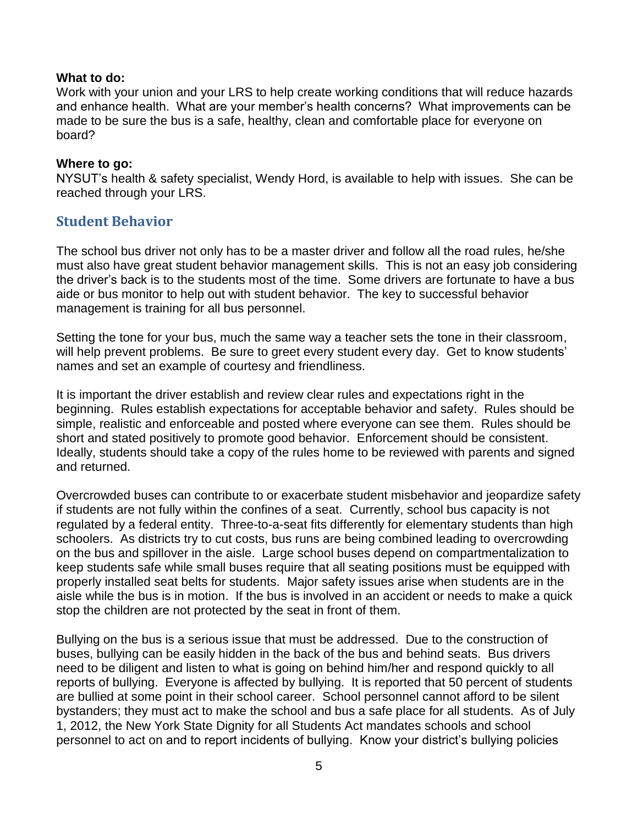#### **What to do:**

Work with your union and your LRS to help create working conditions that will reduce hazards and enhance health. What are your member's health concerns? What improvements can be made to be sure the bus is a safe, healthy, clean and comfortable place for everyone on board?

#### **Where to go:**

NYSUT's health & safety specialist, Wendy Hord, is available to help with issues. She can be reached through your LRS.

#### <span id="page-4-0"></span>**Student Behavior**

The school bus driver not only has to be a master driver and follow all the road rules, he/she must also have great student behavior management skills. This is not an easy job considering the driver's back is to the students most of the time. Some drivers are fortunate to have a bus aide or bus monitor to help out with student behavior. The key to successful behavior management is training for all bus personnel.

Setting the tone for your bus, much the same way a teacher sets the tone in their classroom, will help prevent problems. Be sure to greet every student every day. Get to know students' names and set an example of courtesy and friendliness.

It is important the driver establish and review clear rules and expectations right in the beginning. Rules establish expectations for acceptable behavior and safety. Rules should be simple, realistic and enforceable and posted where everyone can see them. Rules should be short and stated positively to promote good behavior. Enforcement should be consistent. Ideally, students should take a copy of the rules home to be reviewed with parents and signed and returned.

Overcrowded buses can contribute to or exacerbate student misbehavior and jeopardize safety if students are not fully within the confines of a seat. Currently, school bus capacity is not regulated by a federal entity. Three-to-a-seat fits differently for elementary students than high schoolers. As districts try to cut costs, bus runs are being combined leading to overcrowding on the bus and spillover in the aisle. Large school buses depend on compartmentalization to keep students safe while small buses require that all seating positions must be equipped with properly installed seat belts for students. Major safety issues arise when students are in the aisle while the bus is in motion. If the bus is involved in an accident or needs to make a quick stop the children are not protected by the seat in front of them.

Bullying on the bus is a serious issue that must be addressed. Due to the construction of buses, bullying can be easily hidden in the back of the bus and behind seats. Bus drivers need to be diligent and listen to what is going on behind him/her and respond quickly to all reports of bullying. Everyone is affected by bullying. It is reported that 50 percent of students are bullied at some point in their school career. School personnel cannot afford to be silent bystanders; they must act to make the school and bus a safe place for all students. As of July 1, 2012, the New York State Dignity for all Students Act mandates schools and school personnel to act on and to report incidents of bullying. Know your district's bullying policies